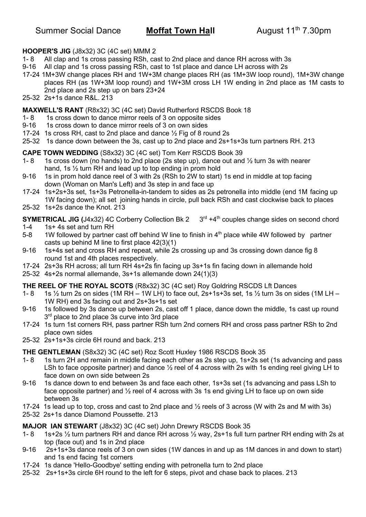### **HOOPER'S JIG** (J8x32) 3C (4C set) MMM 2

- 1- 8 All clap and 1s cross passing RSh, cast to 2nd place and dance RH across with 3s
- 9-16 All clap and 1s cross passing RSh, cast to 1st place and dance LH across with 2s
- 17-24 1M+3W change places RH and 1W+3M change places RH (as 1M+3W loop round), 1M+3W change places RH (as 1W+3M loop round) and 1W+3M cross LH 1W ending in 2nd place as 1M casts to 2nd place and 2s step up on bars 23+24
- 25-32 2s+1s dance R&L. 213

### **MAXWELL'S RANT** (R8x32) 3C (4C set) David Rutherford RSCDS Book 18

- 1-8 1s cross down to dance mirror reels of 3 on opposite sides
- 9-16 1s cross down to dance mirror reels of 3 on own sides
- 17-24 1s cross RH, cast to 2nd place and dance ½ Fig of 8 round 2s
- 25-32 1s dance down between the 3s, cast up to 2nd place and 2s+1s+3s turn partners RH. 213

### **CAPE TOWN WEDDING** (S8x32) 3C (4C set) Tom Kerr RSCDS Book 39

- 1- 8 1s cross down (no hands) to 2nd place (2s step up), dance out and  $\frac{1}{2}$  turn 3s with nearer hand, 1s ½ turn RH and lead up to top ending in prom hold
- 9-16 1s in prom hold dance reel of 3 with 2s (RSh to 2W to start) 1s end in middle at top facing down (Woman on Man's Left) and 3s step in and face up
- 17-24 1s+2s+3s set, 1s+3s Petronella-in-tandem to sides as 2s petronella into middle (end 1M facing up 1W facing down); all set joining hands in circle, pull back RSh and cast clockwise back to places
- 25-32 1s+2s dance the Knot. 213

**SYMETRICAL JIG (J4x32) 4C Corberry Collection Bk 2**  $3^{rd} + 4^{th}$  **couples change sides on second chord** 

- 1-4 1s+ 4s set and turn RH
- 5-8 1W followed by partner cast off behind W line to finish in 4<sup>th</sup> place while 4W followed by partner casts up behind M line to first place 42(3)(1)
- 9-16 1s+4s set and cross RH and repeat, while 2s crossing up and 3s crossing down dance fig 8 round 1st and 4th places respectively.
- 17-24 2s+3s RH across; all turn RH 4s+2s fin facing up 3s+1s fin facing down in allemande hold
- 25-32 4s+2s normal allemande, 3s+1s allemande down 24(1)(3)

#### **THE REEL OF THE ROYAL SCOTS** (R8x32) 3C (4C set) Roy Goldring RSCDS Lft Dances

- 1- 8 1s  $\frac{1}{2}$  turn 2s on sides (1M RH 1W LH) to face out, 2s+1s+3s set, 1s  $\frac{1}{2}$  turn 3s on sides (1M LH 1W RH) end 3s facing out and 2s+3s+1s set
- 9-16 1s followed by 3s dance up between 2s, cast off 1 place, dance down the middle, 1s cast up round  $3<sup>rd</sup>$  place to 2nd place 3s curve into 3rd place
- 17-24 1s turn 1st corners RH, pass partner RSh turn 2nd corners RH and cross pass partner RSh to 2nd place own sides
- 25-32 2s+1s+3s circle 6H round and back. 213

**THE GENTLEMAN** (S8x32) 3C (4C set) Roz Scott Huxley 1986 RSCDS Book 35

- 1- 8 1s turn 2H and remain in middle facing each other as 2s step up, 1s+2s set (1s advancing and pass LSh to face opposite partner) and dance  $\frac{1}{2}$  reel of 4 across with 2s with 1s ending reel giving LH to face down on own side between 2s
- 9-16 1s dance down to end between 3s and face each other, 1s+3s set (1s advancing and pass LSh to face opposite partner) and  $\frac{1}{2}$  reel of 4 across with 3s 1s end giving LH to face up on own side between 3s
- 17-24 1s lead up to top, cross and cast to 2nd place and ½ reels of 3 across (W with 2s and M with 3s)
- 25-32 2s+1s dance Diamond Poussette. 213

### **MAJOR IAN STEWART** (J8x32) 3C (4C set) John Drewry RSCDS Book 35

- 1- 8 1s+2s ½ turn partners RH and dance RH across ½ way, 2s+1s full turn partner RH ending with 2s at top (face out) and 1s in 2nd place
- 9-16 2s+1s+3s dance reels of 3 on own sides (1W dances in and up as 1M dances in and down to start) and 1s end facing 1st corners
- 17-24 1s dance 'Hello-Goodbye' setting ending with petronella turn to 2nd place
- 25-32 2s+1s+3s circle 6H round to the left for 6 steps, pivot and chase back to places. 213